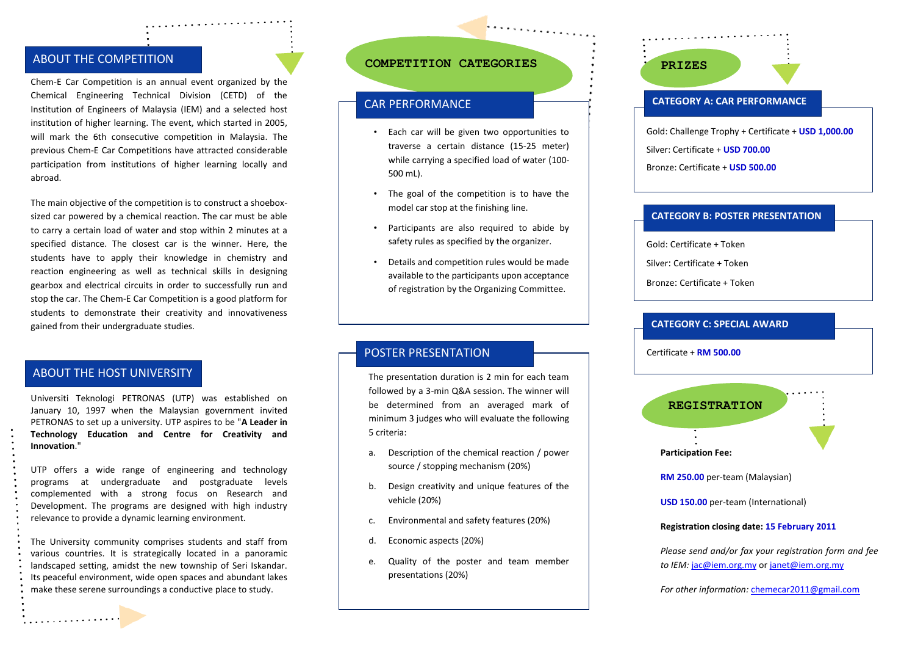# ABOUT THE COMPETITION

Chem-E Car Competition is an annual event organized by the Chemical Engineering Technical Division (CETD) of the Institution of Engineers of Malaysia (IEM) and a selected host institution of higher learning. The event, which started in 2005, will mark the 6th consecutive competition in Malaysia. The previous Chem-E Car Competitions have attracted considerable participation from institutions of higher learning locally and abroad.

The main objective of the competition is to construct a shoeboxsized car powered by a chemical reaction. The car must be able to carry a certain load of water and stop within 2 minutes at a specified distance. The closest car is the winner. Here, the students have to apply their knowledge in chemistry and reaction engineering as well as technical skills in designing gearbox and electrical circuits in order to successfully run and stop the car. The Chem-E Car Competition is a good platform for students to demonstrate their creativity and innovativeness gained from their undergraduate studies.

# **ABOUT THE HOST UNIVERSITY** ABOUT THE HOST UNIVERSITY

Universiti Teknologi PETRONAS (UTP) was established on January 10, 1997 when the Malaysian government invited PETRONAS to set up a university. UTP aspires to be "**A Leader in Technology Education and Centre for Creativity and Innovation**."

UTP offers a wide range of engineering and technology programs at undergraduate and postgraduate levels complemented with a strong focus on Research and Development. The programs are designed with high industry relevance to provide a dynamic learning environment.

The University community comprises students and staff from various countries. It is strategically located in a panoramic landscaped setting, amidst the new township of Seri Iskandar. Its peaceful environment, wide open spaces and abundant lakes make these serene surroundings a conductive place to study.

### **COMPETITION CATEGORIES PRIZES**

# CAR PERFORMANCE

• Each car will be given two opportunities to traverse a certain distance (15-25 meter) while carrying a specified load of water (100- 500 mL).

. . . . . . . . . . . . .

- The goal of the competition is to have the model car stop at the finishing line.
- Participants are also required to abide by safety rules as specified by the organizer.
- Details and competition rules would be made available to the participants upon acceptance of registration by the Organizing Committee.

# POSTER PRESENTATION

The presentation duration is 2 min for each team followed by a 3-min Q&A session. The winner will be determined from an averaged mark of minimum 3 judges who will evaluate the following 5 criteria:

- a. Description of the chemical reaction / power source / stopping mechanism (20%)
- b. Design creativity and unique features of the vehicle (20%)
- c. Environmental and safety features (20%)
- d. Economic aspects (20%)
- e. Quality of the poster and team member presentations (20%)

### **CATEGORY A: CAR PERFORMANCE**

Gold: Challenge Trophy + Certificate + **USD 1,000.00**

Silver: Certificate + **USD 700.00**

Bronze: Certificate + **USD 500.00**

#### **CATEGORY B: POSTER PRESENTATION**

Gold: Certificate + Token

Silver: Certificate + Token

Bronze: Certificate + Token

#### **CATEGORY C: SPECIAL AWARD**

Certificate + **RM 500.00**



**RM 250.00** per-team (Malaysian)

**USD 150.00** per-team (International)

#### **Registration closing date: 15 February 2011**

*Please send and/or fax your registration form and fee to IEM:* [jac@iem.org.my](mailto:jac@iem.org.my) or [janet@iem.org.my](mailto:janet@iem.org.my)

*For other information:* [chemecar2011@gmail.com](mailto:chemecar2011@gmail.com)